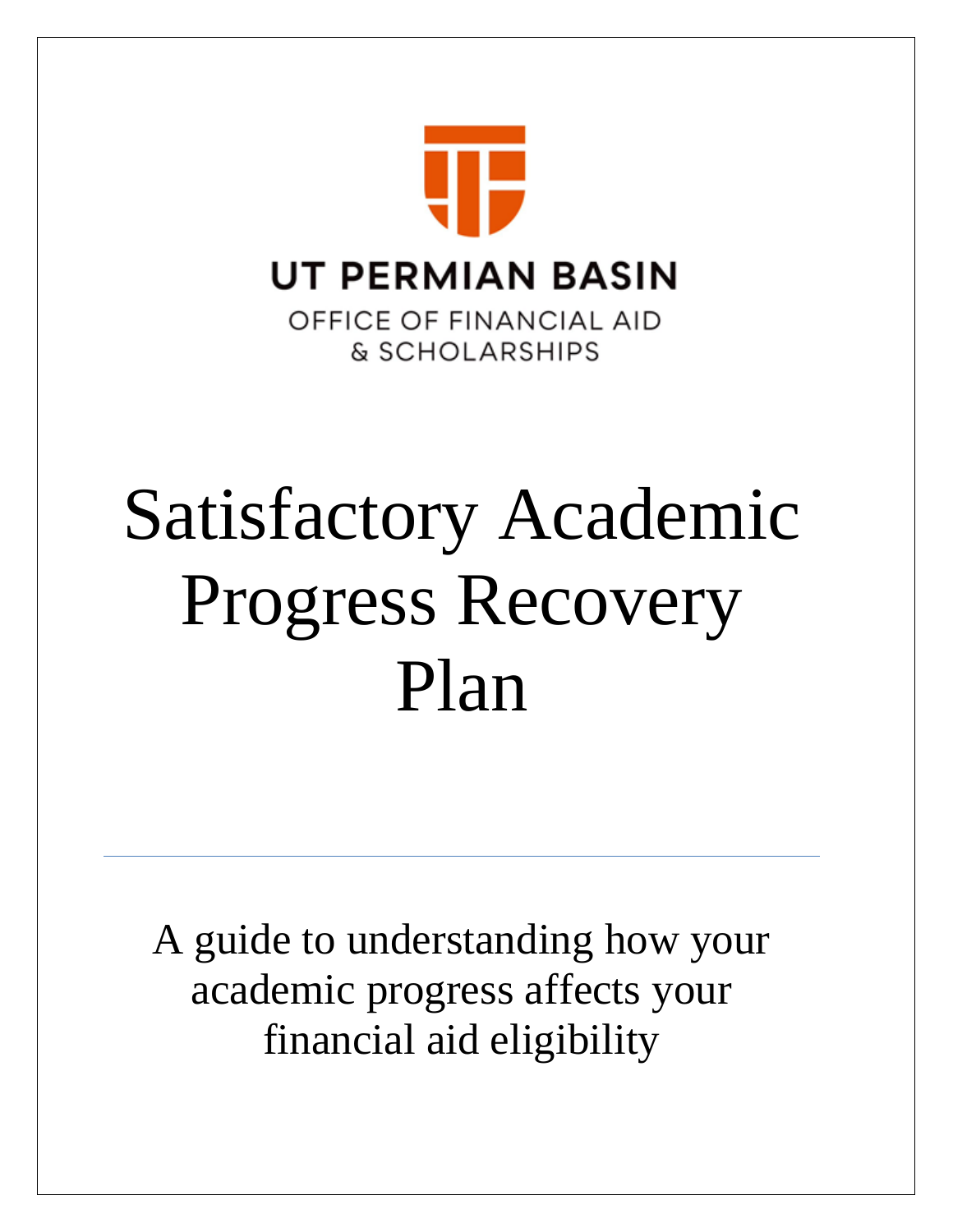

# Satisfactory Academic Progress Recovery Plan

A guide to understanding how your academic progress affects your financial aid eligibility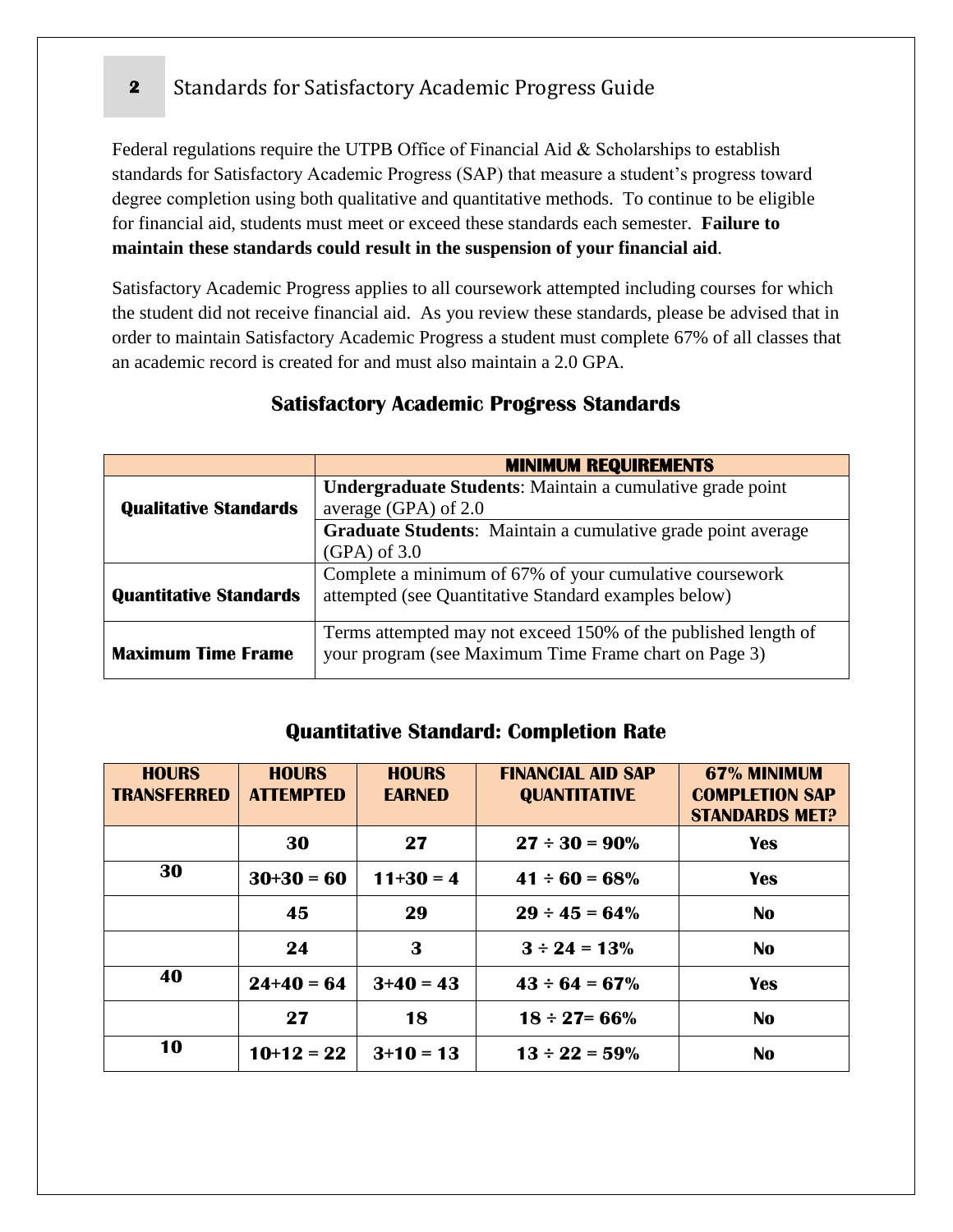# **2** Standards for Satisfactory Academic Progress Guide

Federal regulations require the UTPB Office of Financial Aid & Scholarships to establish standards for Satisfactory Academic Progress (SAP) that measure a student's progress toward degree completion using both qualitative and quantitative methods. To continue to be eligible for financial aid, students must meet or exceed these standards each semester. **Failure to maintain these standards could result in the suspension of your financial aid**.

Satisfactory Academic Progress applies to all coursework attempted including courses for which the student did not receive financial aid. As you review these standards, please be advised that in order to maintain Satisfactory Academic Progress a student must complete 67% of all classes that an academic record is created for and must also maintain a 2.0 GPA.

| <b>MINIMUM REQUIREMENTS</b>                                    |  |  |  |
|----------------------------------------------------------------|--|--|--|
| Undergraduate Students: Maintain a cumulative grade point      |  |  |  |
| average (GPA) of 2.0                                           |  |  |  |
| Graduate Students: Maintain a cumulative grade point average   |  |  |  |
| $(GPA)$ of 3.0                                                 |  |  |  |
| Complete a minimum of 67% of your cumulative coursework        |  |  |  |
| attempted (see Quantitative Standard examples below)           |  |  |  |
| Terms attempted may not exceed 150% of the published length of |  |  |  |
| your program (see Maximum Time Frame chart on Page 3)          |  |  |  |
|                                                                |  |  |  |

## **Satisfactory Academic Progress Standards**

### **Quantitative Standard: Completion Rate**

| <b>HOURS</b><br><b>TRANSFERRED</b> | <b>HOURS</b><br><b>ATTEMPTED</b> | <b>HOURS</b><br><b>EARNED</b> | <b>FINANCIAL AID SAP</b><br><b>QUANTITATIVE</b> | 67% MINIMUM<br><b>COMPLETION SAP</b><br><b>STANDARDS MET?</b> |
|------------------------------------|----------------------------------|-------------------------------|-------------------------------------------------|---------------------------------------------------------------|
|                                    | 30                               | 27                            | $27 \div 30 = 90\%$                             | <b>Yes</b>                                                    |
| 30                                 | $30+30=60$                       | $11+30=4$                     | $41 \div 60 = 68\%$                             | <b>Yes</b>                                                    |
|                                    | 45                               | 29                            | $29 \div 45 = 64\%$                             | <b>No</b>                                                     |
|                                    | 24                               | 3                             | $3 \div 24 = 13\%$                              | <b>No</b>                                                     |
| 40                                 | $24+40=64$                       | $3+40=43$                     | $43 \div 64 = 67\%$                             | <b>Yes</b>                                                    |
|                                    | 27                               | 18                            | $18 \div 27 = 66\%$                             | <b>No</b>                                                     |
| 10                                 | $10+12=22$                       | $3+10=13$                     | $13 \div 22 = 59\%$                             | <b>No</b>                                                     |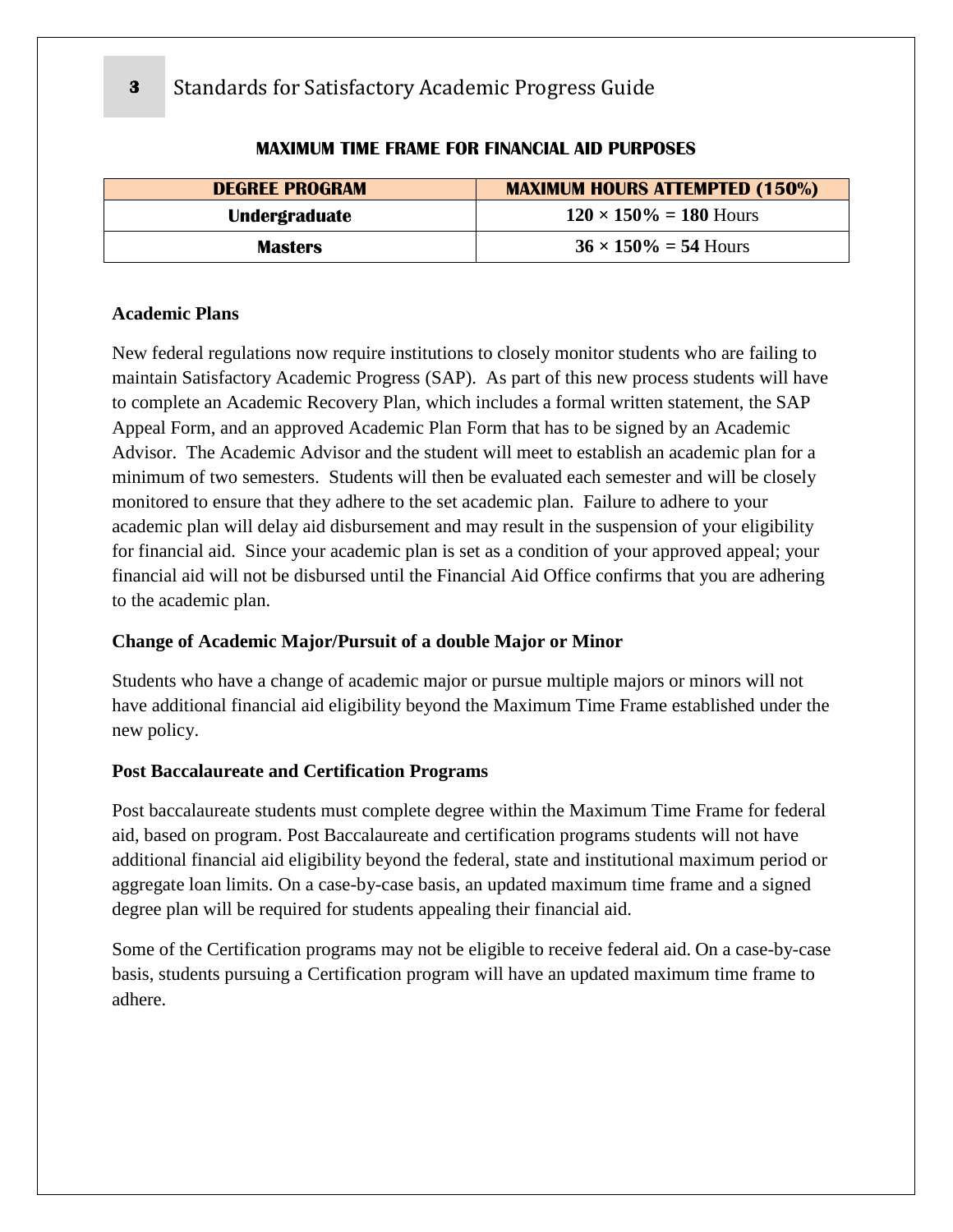| <b>MAXIMUM HOURS ATTEMPTED (150%)</b><br><b>DEGREE PROGRAM</b> |                                |
|----------------------------------------------------------------|--------------------------------|
| Undergraduate                                                  | $120 \times 150\% = 180$ Hours |
| <b>Masters</b>                                                 | $36 \times 150\% = 54$ Hours   |

#### **MAXIMUM TIME FRAME FOR FINANCIAL AID PURPOSES**

#### **Academic Plans**

New federal regulations now require institutions to closely monitor students who are failing to maintain Satisfactory Academic Progress (SAP). As part of this new process students will have to complete an Academic Recovery Plan, which includes a formal written statement, the SAP Appeal Form, and an approved Academic Plan Form that has to be signed by an Academic Advisor. The Academic Advisor and the student will meet to establish an academic plan for a minimum of two semesters. Students will then be evaluated each semester and will be closely monitored to ensure that they adhere to the set academic plan. Failure to adhere to your academic plan will delay aid disbursement and may result in the suspension of your eligibility for financial aid. Since your academic plan is set as a condition of your approved appeal; your financial aid will not be disbursed until the Financial Aid Office confirms that you are adhering to the academic plan.

#### **Change of Academic Major/Pursuit of a double Major or Minor**

Students who have a change of academic major or pursue multiple majors or minors will not have additional financial aid eligibility beyond the Maximum Time Frame established under the new policy.

#### **Post Baccalaureate and Certification Programs**

Post baccalaureate students must complete degree within the Maximum Time Frame for federal aid, based on program. Post Baccalaureate and certification programs students will not have additional financial aid eligibility beyond the federal, state and institutional maximum period or aggregate loan limits. On a case-by-case basis, an updated maximum time frame and a signed degree plan will be required for students appealing their financial aid.

Some of the Certification programs may not be eligible to receive federal aid. On a case-by-case basis, students pursuing a Certification program will have an updated maximum time frame to adhere.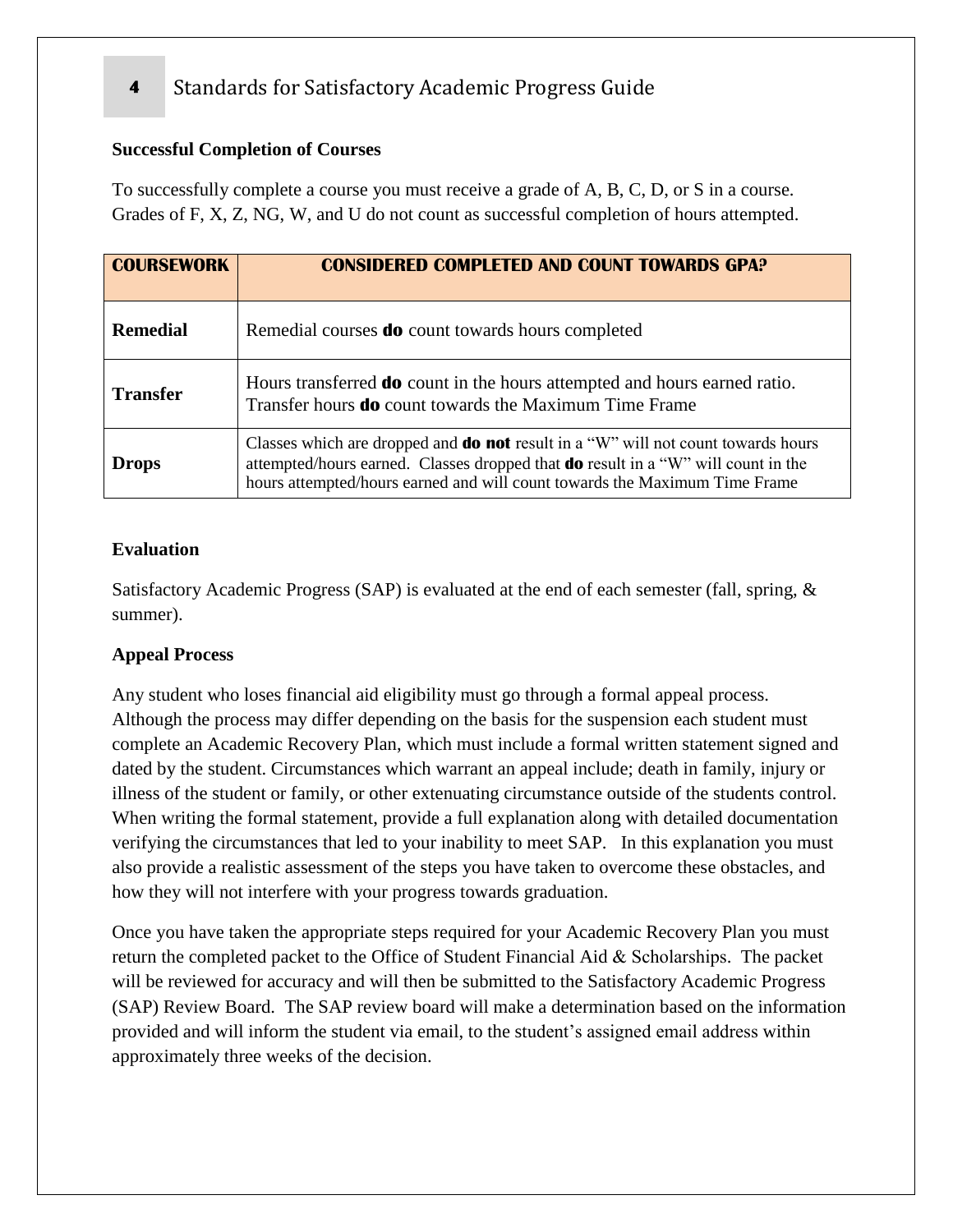# **4** Standards for Satisfactory Academic Progress Guide

#### **Successful Completion of Courses**

To successfully complete a course you must receive a grade of A, B, C, D, or S in a course. Grades of F, X, Z, NG, W, and U do not count as successful completion of hours attempted.

| <b>COURSEWORK</b> | <b>CONSIDERED COMPLETED AND COUNT TOWARDS GPA?</b>                                                                                                                                                                                                                 |  |
|-------------------|--------------------------------------------------------------------------------------------------------------------------------------------------------------------------------------------------------------------------------------------------------------------|--|
| <b>Remedial</b>   | Remedial courses <b>do</b> count towards hours completed                                                                                                                                                                                                           |  |
| <b>Transfer</b>   | Hours transferred <b>do</b> count in the hours attempted and hours earned ratio.<br>Transfer hours <b>do</b> count towards the Maximum Time Frame                                                                                                                  |  |
| <b>Drops</b>      | Classes which are dropped and <b>do not</b> result in a "W" will not count towards hours<br>attempted/hours earned. Classes dropped that <b>do</b> result in a "W" will count in the<br>hours attempted/hours earned and will count towards the Maximum Time Frame |  |

#### **Evaluation**

Satisfactory Academic Progress (SAP) is evaluated at the end of each semester (fall, spring, & summer).

#### **Appeal Process**

Any student who loses financial aid eligibility must go through a formal appeal process. Although the process may differ depending on the basis for the suspension each student must complete an Academic Recovery Plan, which must include a formal written statement signed and dated by the student. Circumstances which warrant an appeal include; death in family, injury or illness of the student or family, or other extenuating circumstance outside of the students control. When writing the formal statement, provide a full explanation along with detailed documentation verifying the circumstances that led to your inability to meet SAP. In this explanation you must also provide a realistic assessment of the steps you have taken to overcome these obstacles, and how they will not interfere with your progress towards graduation.

Once you have taken the appropriate steps required for your Academic Recovery Plan you must return the completed packet to the Office of Student Financial Aid & Scholarships. The packet will be reviewed for accuracy and will then be submitted to the Satisfactory Academic Progress (SAP) Review Board. The SAP review board will make a determination based on the information provided and will inform the student via email, to the student's assigned email address within approximately three weeks of the decision.